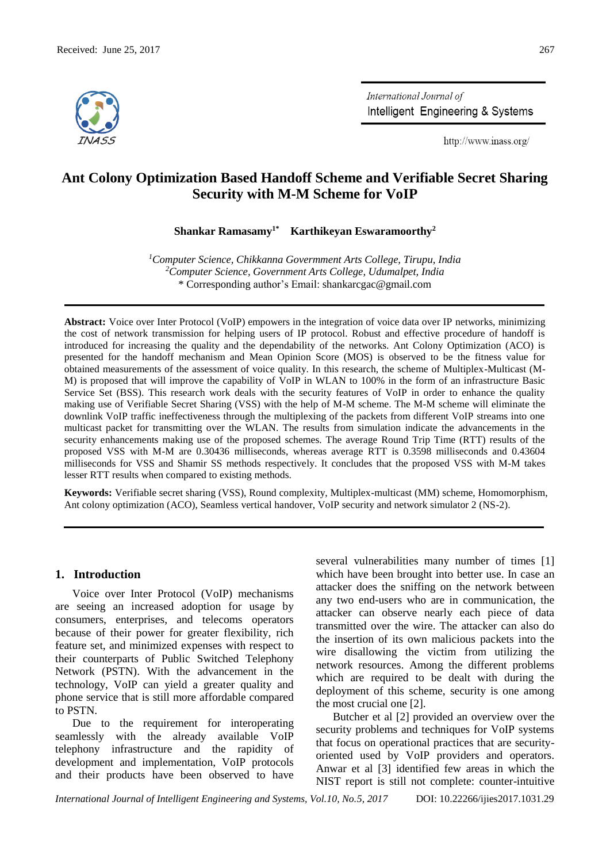

International Journal of Intelligent Engineering & Systems

http://www.inass.org/

# **Ant Colony Optimization Based Handoff Scheme and Verifiable Secret Sharing Security with M-M Scheme for VoIP**

**Shankar Ramasamy1\* Karthikeyan Eswaramoorthy<sup>2</sup>**

*<sup>1</sup>Computer Science, Chikkanna Govermment Arts College, Tirupu, India <sup>2</sup>Computer Science, Government Arts College, Udumalpet, India* \* Corresponding author's Email: shankarcgac@gmail.com

**Abstract:** Voice over Inter Protocol (VoIP) empowers in the integration of voice data over IP networks, minimizing the cost of network transmission for helping users of IP protocol. Robust and effective procedure of handoff is introduced for increasing the quality and the dependability of the networks. Ant Colony Optimization (ACO) is presented for the handoff mechanism and Mean Opinion Score (MOS) is observed to be the fitness value for obtained measurements of the assessment of voice quality. In this research, the scheme of Multiplex-Multicast (M-M) is proposed that will improve the capability of VoIP in WLAN to 100% in the form of an infrastructure Basic Service Set (BSS). This research work deals with the security features of VoIP in order to enhance the quality making use of Verifiable Secret Sharing (VSS) with the help of M-M scheme. The M-M scheme will eliminate the downlink VoIP traffic ineffectiveness through the multiplexing of the packets from different VoIP streams into one multicast packet for transmitting over the WLAN. The results from simulation indicate the advancements in the security enhancements making use of the proposed schemes. The average Round Trip Time (RTT) results of the proposed VSS with M-M are 0.30436 milliseconds, whereas average RTT is 0.3598 milliseconds and 0.43604 milliseconds for VSS and Shamir SS methods respectively. It concludes that the proposed VSS with M-M takes lesser RTT results when compared to existing methods.

**Keywords:** Verifiable secret sharing (VSS), Round complexity, Multiplex-multicast (MM) scheme, Homomorphism, Ant colony optimization (ACO), Seamless vertical handover, VoIP security and network simulator 2 (NS-2).

### **1. Introduction**

Voice over Inter Protocol (VoIP) mechanisms are seeing an increased adoption for usage by consumers, enterprises, and telecoms operators because of their power for greater flexibility, rich feature set, and minimized expenses with respect to their counterparts of Public Switched Telephony Network (PSTN). With the advancement in the technology, VoIP can yield a greater quality and phone service that is still more affordable compared to PSTN.

Due to the requirement for interoperating seamlessly with the already available VoIP telephony infrastructure and the rapidity of development and implementation, VoIP protocols and their products have been observed to have several vulnerabilities many number of times [1] which have been brought into better use. In case an attacker does the sniffing on the network between any two end-users who are in communication, the attacker can observe nearly each piece of data transmitted over the wire. The attacker can also do the insertion of its own malicious packets into the wire disallowing the victim from utilizing the network resources. Among the different problems which are required to be dealt with during the deployment of this scheme, security is one among the most crucial one [2].

Butcher et al [2] provided an overview over the security problems and techniques for VoIP systems that focus on operational practices that are securityoriented used by VoIP providers and operators. Anwar et al [3] identified few areas in which the NIST report is still not complete: counter-intuitive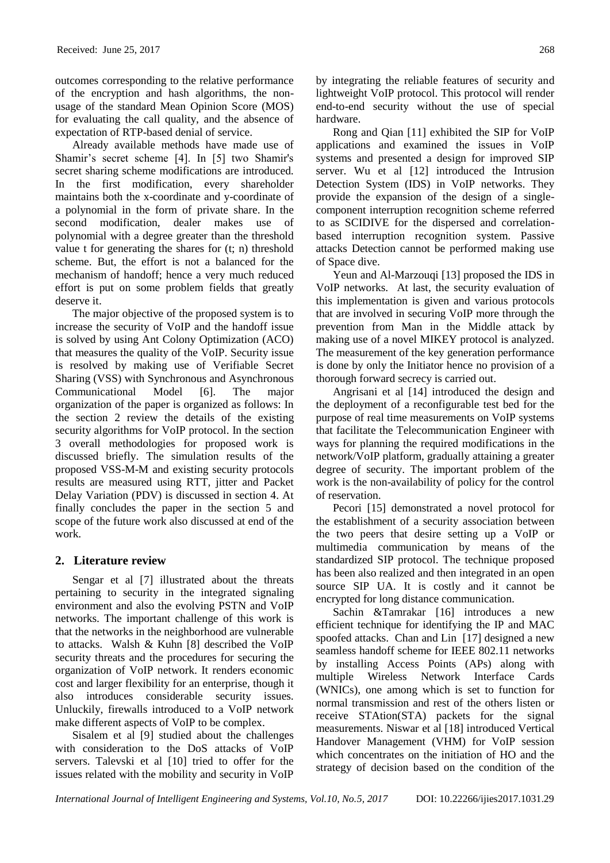outcomes corresponding to the relative performance of the encryption and hash algorithms, the nonusage of the standard Mean Opinion Score (MOS) for evaluating the call quality, and the absence of expectation of RTP-based denial of service.

Already available methods have made use of Shamir's secret scheme [4]. In [5] two Shamir's secret sharing scheme modifications are introduced. In the first modification, every shareholder maintains both the x-coordinate and y-coordinate of a polynomial in the form of private share. In the second modification, dealer makes use of polynomial with a degree greater than the threshold value t for generating the shares for (t; n) threshold scheme. But, the effort is not a balanced for the mechanism of handoff; hence a very much reduced effort is put on some problem fields that greatly deserve it.

The major objective of the proposed system is to increase the security of VoIP and the handoff issue is solved by using Ant Colony Optimization (ACO) that measures the quality of the VoIP. Security issue is resolved by making use of Verifiable Secret Sharing (VSS) with Synchronous and Asynchronous Communicational Model [6]. The major organization of the paper is organized as follows: In the section 2 review the details of the existing security algorithms for VoIP protocol. In the section 3 overall methodologies for proposed work is discussed briefly. The simulation results of the proposed VSS-M-M and existing security protocols results are measured using RTT, jitter and Packet Delay Variation (PDV) is discussed in section 4. At finally concludes the paper in the section 5 and scope of the future work also discussed at end of the work.

## **2. Literature review**

Sengar et al [7] illustrated about the threats pertaining to security in the integrated signaling environment and also the evolving PSTN and VoIP networks. The important challenge of this work is that the networks in the neighborhood are vulnerable to attacks. Walsh & Kuhn [8] described the VoIP security threats and the procedures for securing the organization of VoIP network. It renders economic cost and larger flexibility for an enterprise, though it also introduces considerable security issues. Unluckily, firewalls introduced to a VoIP network make different aspects of VoIP to be complex.

Sisalem et al [9] studied about the challenges with consideration to the DoS attacks of VoIP servers. Talevski et al [10] tried to offer for the issues related with the mobility and security in VoIP

by integrating the reliable features of security and lightweight VoIP protocol. This protocol will render end-to-end security without the use of special hardware.

Rong and Qian [11] exhibited the SIP for VoIP applications and examined the issues in VoIP systems and presented a design for improved SIP server. Wu et al [12] introduced the Intrusion Detection System (IDS) in VoIP networks. They provide the expansion of the design of a singlecomponent interruption recognition scheme referred to as SCIDIVE for the dispersed and correlationbased interruption recognition system. Passive attacks Detection cannot be performed making use of Space dive.

Yeun and Al-Marzouqi [13] proposed the IDS in VoIP networks. At last, the security evaluation of this implementation is given and various protocols that are involved in securing VoIP more through the prevention from Man in the Middle attack by making use of a novel MIKEY protocol is analyzed. The measurement of the key generation performance is done by only the Initiator hence no provision of a thorough forward secrecy is carried out.

Angrisani et al [14] introduced the design and the deployment of a reconfigurable test bed for the purpose of real time measurements on VoIP systems that facilitate the Telecommunication Engineer with ways for planning the required modifications in the network/VoIP platform, gradually attaining a greater degree of security. The important problem of the work is the non-availability of policy for the control of reservation.

Pecori [15] demonstrated a novel protocol for the establishment of a security association between the two peers that desire setting up a VoIP or multimedia communication by means of the standardized SIP protocol. The technique proposed has been also realized and then integrated in an open source SIP UA. It is costly and it cannot be encrypted for long distance communication.

Sachin &Tamrakar [16] introduces a new efficient technique for identifying the IP and MAC spoofed attacks. Chan and Lin [17] designed a new seamless handoff scheme for IEEE 802.11 networks by installing Access Points (APs) along with multiple Wireless Network Interface Cards (WNICs), one among which is set to function for normal transmission and rest of the others listen or receive STAtion(STA) packets for the signal measurements. Niswar et al [18] introduced Vertical Handover Management (VHM) for VoIP session which concentrates on the initiation of HO and the strategy of decision based on the condition of the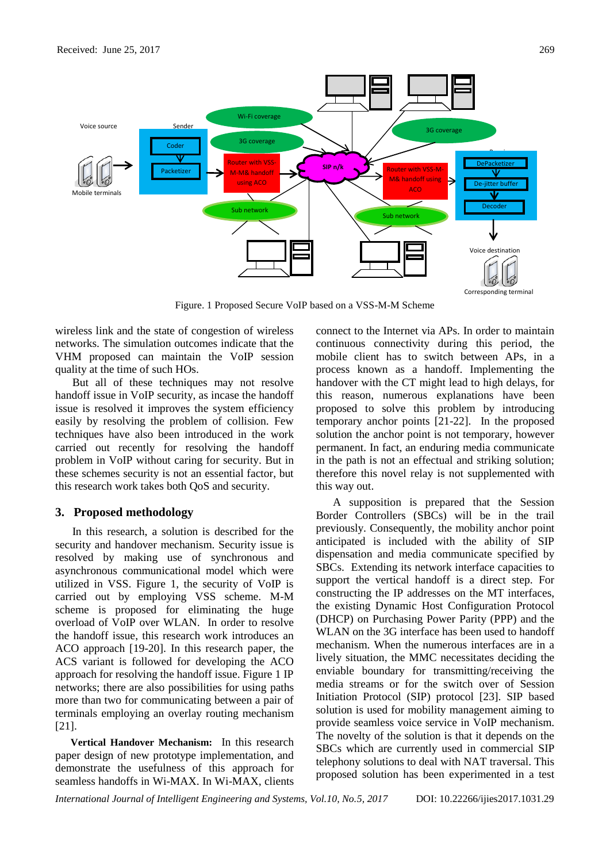

Figure. 1 Proposed Secure VoIP based on a VSS-M-M Scheme

wireless link and the state of congestion of wireless networks. The simulation outcomes indicate that the VHM proposed can maintain the VoIP session quality at the time of such HOs.

But all of these techniques may not resolve handoff issue in VoIP security, as incase the handoff issue is resolved it improves the system efficiency easily by resolving the problem of collision. Few techniques have also been introduced in the work carried out recently for resolving the handoff problem in VoIP without caring for security. But in these schemes security is not an essential factor, but this research work takes both QoS and security.

## **3. Proposed methodology**

In this research, a solution is described for the security and handover mechanism. Security issue is resolved by making use of synchronous and asynchronous communicational model which were utilized in VSS. Figure 1, the security of VoIP is carried out by employing VSS scheme. M-M scheme is proposed for eliminating the huge overload of VoIP over WLAN. In order to resolve the handoff issue, this research work introduces an ACO approach [19-20]. In this research paper, the ACS variant is followed for developing the ACO approach for resolving the handoff issue. Figure 1 IP networks; there are also possibilities for using paths more than two for communicating between a pair of terminals employing an overlay routing mechanism [21].

**Vertical Handover Mechanism:** In this research paper design of new prototype implementation, and demonstrate the usefulness of this approach for seamless handoffs in Wi-MAX. In Wi-MAX, clients

connect to the Internet via APs. In order to maintain continuous connectivity during this period, the mobile client has to switch between APs, in a process known as a handoff. Implementing the handover with the CT might lead to high delays, for this reason, numerous explanations have been proposed to solve this problem by introducing temporary anchor points [21-22]. In the proposed solution the anchor point is not temporary, however permanent. In fact, an enduring media communicate in the path is not an effectual and striking solution; therefore this novel relay is not supplemented with this way out.

A supposition is prepared that the Session Border Controllers (SBCs) will be in the trail previously. Consequently, the mobility anchor point anticipated is included with the ability of SIP dispensation and media communicate specified by SBCs. Extending its network interface capacities to support the vertical handoff is a direct step. For constructing the IP addresses on the MT interfaces, the existing Dynamic Host Configuration Protocol (DHCP) on Purchasing Power Parity (PPP) and the WLAN on the 3G interface has been used to handoff mechanism. When the numerous interfaces are in a lively situation, the MMC necessitates deciding the enviable boundary for transmitting/receiving the media streams or for the switch over of Session Initiation Protocol (SIP) protocol [23]. SIP based solution is used for mobility management aiming to provide seamless voice service in VoIP mechanism. The novelty of the solution is that it depends on the SBCs which are currently used in commercial SIP telephony solutions to deal with NAT traversal. This proposed solution has been experimented in a test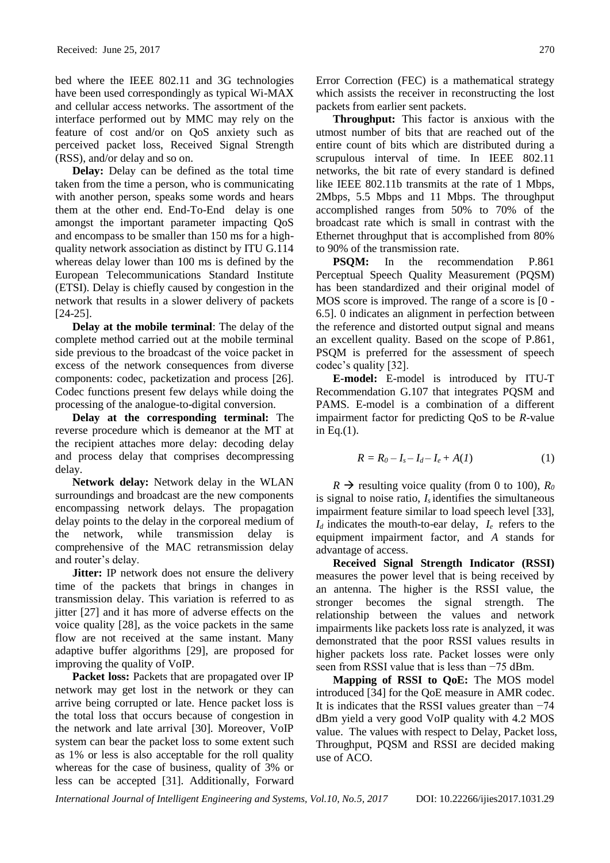bed where the IEEE 802.11 and 3G technologies have been used correspondingly as typical Wi-MAX and cellular access networks. The assortment of the interface performed out by MMC may rely on the feature of cost and/or on QoS anxiety such as perceived packet loss, Received Signal Strength (RSS), and/or delay and so on.

**Delay:** Delay can be defined as the total time taken from the time a person, who is communicating with another person, speaks some words and hears them at the other end. End-To-End delay is one amongst the important parameter impacting QoS and encompass to be smaller than 150 ms for a highquality network association as distinct by ITU G.114 whereas delay lower than 100 ms is defined by the European Telecommunications Standard Institute (ETSI). Delay is chiefly caused by congestion in the network that results in a slower delivery of packets [24-25].

**Delay at the mobile terminal**: The delay of the complete method carried out at the mobile terminal side previous to the broadcast of the voice packet in excess of the network consequences from diverse components: codec, packetization and process [26]. Codec functions present few delays while doing the processing of the analogue-to-digital conversion.

**Delay at the corresponding terminal:** The reverse procedure which is demeanor at the MT at the recipient attaches more delay: decoding delay and process delay that comprises decompressing delay.

**Network delay:** Network delay in the WLAN surroundings and broadcast are the new components encompassing network delays. The propagation delay points to the delay in the corporeal medium of the network, while transmission delay is comprehensive of the MAC retransmission delay and router's delay.

**Jitter:** IP network does not ensure the delivery time of the packets that brings in changes in transmission delay. This variation is referred to as jitter [27] and it has more of adverse effects on the voice quality [28], as the voice packets in the same flow are not received at the same instant. Many adaptive buffer algorithms [29], are proposed for improving the quality of VoIP.

Packet loss: Packets that are propagated over IP network may get lost in the network or they can arrive being corrupted or late. Hence packet loss is the total loss that occurs because of congestion in the network and late arrival [30]. Moreover, VoIP system can bear the packet loss to some extent such as 1% or less is also acceptable for the roll quality whereas for the case of business, quality of 3% or less can be accepted [31]. Additionally, Forward

Error Correction (FEC) is a mathematical strategy which assists the receiver in reconstructing the lost packets from earlier sent packets.

**Throughput:** This factor is anxious with the utmost number of bits that are reached out of the entire count of bits which are distributed during a scrupulous interval of time. In IEEE 802.11 networks, the bit rate of every standard is defined like IEEE 802.11b transmits at the rate of 1 Mbps, 2Mbps, 5.5 Mbps and 11 Mbps. The throughput accomplished ranges from 50% to 70% of the broadcast rate which is small in contrast with the Ethernet throughput that is accomplished from 80% to 90% of the transmission rate.

**PSOM:** In the recommendation P.861 Perceptual Speech Quality Measurement (PQSM) has been standardized and their original model of MOS score is improved. The range of a score is [0 - 6.5]. 0 indicates an alignment in perfection between the reference and distorted output signal and means an excellent quality. Based on the scope of P.861, PSQM is preferred for the assessment of speech codec's quality [32].

**E-model:** E-model is introduced by ITU-T Recommendation G.107 that integrates PQSM and PAMS. E-model is a combination of a different impairment factor for predicting QoS to be *R*-value in Eq. $(1)$ .

$$
R = R_0 - I_s - I_d - I_e + A(I)
$$
 (1)

 $R \rightarrow$  resulting voice quality (from 0 to 100),  $R_0$ is signal to noise ratio, *Is* identifies the simultaneous impairment feature similar to load speech level [33],  $I_d$  indicates the mouth-to-ear delay,  $I_e$  refers to the equipment impairment factor, and *A* stands for advantage of access.

**Received Signal Strength Indicator (RSSI)**  measures the power level that is being received by an antenna. The higher is the RSSI value, the stronger becomes the signal strength. The relationship between the values and network impairments like packets loss rate is analyzed, it was demonstrated that the poor RSSI values results in higher packets loss rate. Packet losses were only seen from RSSI value that is less than −75 dBm.

**Mapping of RSSI to QoE:** The MOS model introduced [34] for the QoE measure in AMR codec. It is indicates that the RSSI values greater than −74 dBm yield a very good VoIP quality with 4.2 MOS value. The values with respect to Delay, Packet loss, Throughput, PQSM and RSSI are decided making use of ACO.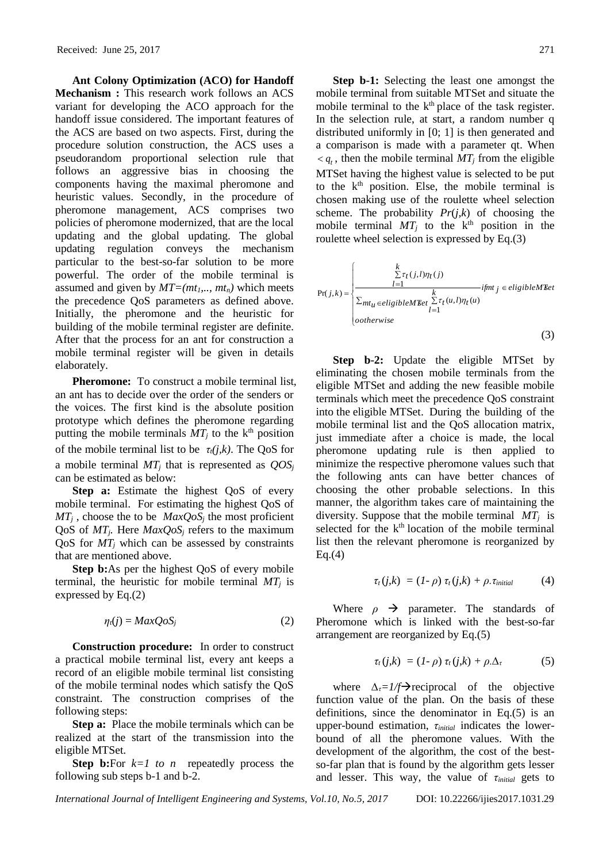**Ant Colony Optimization (ACO) for Handoff Mechanism :** This research work follows an ACS variant for developing the ACO approach for the handoff issue considered. The important features of the ACS are based on two aspects. First, during the procedure solution construction, the ACS uses a pseudorandom proportional selection rule that follows an aggressive bias in choosing the components having the maximal pheromone and heuristic values. Secondly, in the procedure of pheromone management, ACS comprises two policies of pheromone modernized, that are the local updating and the global updating. The global updating regulation conveys the mechanism particular to the best-so-far solution to be more powerful. The order of the mobile terminal is assumed and given by  $MT=(mt_1, ..., mt_n)$  which meets the precedence QoS parameters as defined above. Initially, the pheromone and the heuristic for building of the mobile terminal register are definite. After that the process for an ant for construction a mobile terminal register will be given in details elaborately.

**Pheromone:** To construct a mobile terminal list, an ant has to decide over the order of the senders or the voices. The first kind is the absolute position prototype which defines the pheromone regarding putting the mobile terminals  $MT_i$  to the k<sup>th</sup> position of the mobile terminal list to be  $\tau_t(j,k)$ . The QoS for a mobile terminal *MT<sup>j</sup>* that is represented as *QOS<sup>j</sup>* can be estimated as below:

**Step a:** Estimate the highest QoS of every mobile terminal. For estimating the highest QoS of  $MT_i$ , choose the to be  $MaxQoS_i$  the most proficient QoS of *MTj.* Here *MaxQoS<sup>j</sup>* refers to the maximum QoS for *MT<sup>j</sup>* which can be assessed by constraints that are mentioned above.

**Step b:**As per the highest QoS of every mobile terminal, the heuristic for mobile terminal  $MT_i$  is expressed by Eq.(2)

$$
\eta_i(j) = MaxQoS_j \tag{2}
$$

**Construction procedure:** In order to construct a practical mobile terminal list, every ant keeps a record of an eligible mobile terminal list consisting of the mobile terminal nodes which satisfy the QoS constraint. The construction comprises of the following steps:

**Step a:** Place the mobile terminals which can be realized at the start of the transmission into the eligible MTSet.

**Step b:**For  $k=1$  to n repeatedly process the following sub steps b-1 and b-2.

**Step b-1:** Selecting the least one amongst the mobile terminal from suitable MTSet and situate the mobile terminal to the  $k<sup>th</sup>$  place of the task register. In the selection rule, at start, a random number q distributed uniformly in [0; 1] is then generated and a comparison is made with a parameter qt. When  $\langle q_t, \text{ then the mobile terminal } MT_j \text{ from the eligible}$ MTSet having the highest value is selected to be put to the  $k<sup>th</sup>$  position. Else, the mobile terminal is chosen making use of the roulette wheel selection scheme. The probability *Pr*(*j,k*) of choosing the mobile terminal  $MT_i$  to the k<sup>th</sup> position in the roulette wheel selection is expressed by Eq.(3)

$$
Pr(j,k) = \n\begin{cases}\n\sum_{l=1}^{k} \tau_t(j,l)\eta_t(j) & \text{if } j \in eligibleM\& \text{if } j \in eligibleM\& \text{if } j \in eligibleM\& \text{if } j \in eligibleM\& \text{if } j \in falseM\& \text{if } j \in falseM\& \text{if } j \in falseM\& \text{if } j \in falseM\& \text{if } j \in falseM\& \text{if } j \in falseM\& \text{if } j \in falseM\& \text{if } j \in falseM\& \text{if } j \in falseM\& \text{if } j \in falseM\& \text{if } j \in falseM\& \text{if } j \in falseM\& \text{if } j \in falseM\& \text{if } j \in falseM\& \text{if } j \in falseM\& \text{if } j \in falseM\& \text{if } j \in falseM\& \text{if } j \in falseM\& \text{if } j \in falseM\& \text{if } j \in falseM\& \text{if } j \in falseM\& \text{if } j \in falseM\& \text{if } j \in falseM\& \text{if } j \in falseM\& \text{if } j \in falseM\& \text{if } j \in falseM\& \text{if } j \in falseM\& \text{if } j \in falseM\& \text{if } j \in falseM\& \text{if } j \in falseM\& \text{if } j \in falseM\& \text{if } j \in falseM\& \text{if } j \in falseM\& \text{if } j \in falseM\& \text{if } j \in falseM\& \text{if } j \in falseM\& \text{if } j \in falseM\& \text{if } j \in falseM\& \text{if } j \in falseM\& \text{if } j \in falseM\& \text{if } j \in falseM\& \text{if } j \in falseM\& \text{if } j \in falseM\& \text{if } j \in falseM\& \text{if } j \in falseM\& \text{if } j \in falseM\& \text{if } j \in falseM\& \text{if } j \in false
$$

**Step b-2:** Update the eligible MTSet by eliminating the chosen mobile terminals from the eligible MTSet and adding the new feasible mobile terminals which meet the precedence QoS constraint into the eligible MTSet. During the building of the mobile terminal list and the QoS allocation matrix, just immediate after a choice is made, the local pheromone updating rule is then applied to minimize the respective pheromone values such that the following ants can have better chances of choosing the other probable selections. In this manner, the algorithm takes care of maintaining the diversity. Suppose that the mobile terminal *MT<sup>j</sup>* is selected for the  $k<sup>th</sup>$  location of the mobile terminal list then the relevant pheromone is reorganized by  $Eq.(4)$ 

$$
\tau_t(j,k) = (1-\rho) \tau_t(j,k) + \rho.\tau_{initial} \qquad (4)
$$

Where  $\rho \rightarrow$  parameter. The standards of Pheromone which is linked with the best-so-far arrangement are reorganized by Eq.(5)

$$
\tau_t(j,k) = (1-\rho)\,\tau_t(j,k) + \rho.\Delta_{\tau} \tag{5}
$$

where *∆<sub>τ</sub>=1/f*→reciprocal of the objective function value of the plan. On the basis of these definitions, since the denominator in Eq.(5) is an upper-bound estimation, *τinitial* indicates the lowerbound of all the pheromone values. With the development of the algorithm, the cost of the bestso-far plan that is found by the algorithm gets lesser and lesser. This way, the value of *τinitial* gets to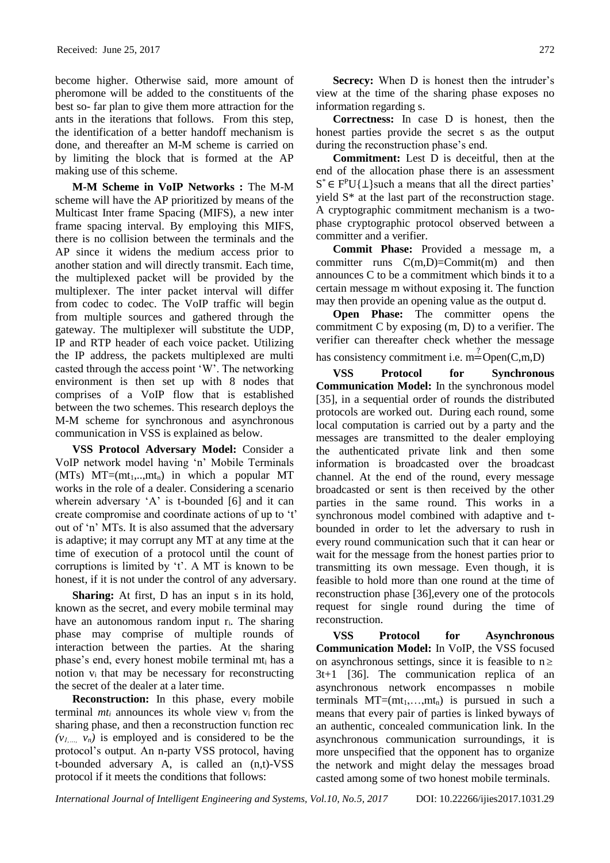become higher. Otherwise said, more amount of pheromone will be added to the constituents of the best so- far plan to give them more attraction for the ants in the iterations that follows. From this step, the identification of a better handoff mechanism is done, and thereafter an M-M scheme is carried on by limiting the block that is formed at the AP making use of this scheme.

**M-M Scheme in VoIP Networks :** The M-M scheme will have the AP prioritized by means of the Multicast Inter frame Spacing (MIFS), a new inter frame spacing interval. By employing this MIFS, there is no collision between the terminals and the AP since it widens the medium access prior to another station and will directly transmit. Each time, the multiplexed packet will be provided by the multiplexer. The inter packet interval will differ from codec to codec. The VoIP traffic will begin from multiple sources and gathered through the gateway. The multiplexer will substitute the UDP, IP and RTP header of each voice packet. Utilizing the IP address, the packets multiplexed are multi casted through the access point 'W'. The networking environment is then set up with 8 nodes that comprises of a VoIP flow that is established between the two schemes. This research deploys the M-M scheme for synchronous and asynchronous communication in VSS is explained as below.

**VSS Protocol Adversary Model:** Consider a VoIP network model having 'n' Mobile Terminals (MTs)  $MT=(mt_1,..,mt_n)$  in which a popular MT works in the role of a dealer. Considering a scenario wherein adversary 'A' is t-bounded [6] and it can create compromise and coordinate actions of up to 't' out of 'n' MTs. It is also assumed that the adversary is adaptive; it may corrupt any MT at any time at the time of execution of a protocol until the count of corruptions is limited by 't'. A MT is known to be honest, if it is not under the control of any adversary.

**Sharing:** At first, D has an input s in its hold, known as the secret, and every mobile terminal may have an autonomous random input  $r_i$ . The sharing phase may comprise of multiple rounds of interaction between the parties. At the sharing phase's end, every honest mobile terminal mt<sup>i</sup> has a notion  $v_i$  that may be necessary for reconstructing the secret of the dealer at a later time.

**Reconstruction:** In this phase, every mobile terminal  $mt_i$  announces its whole view  $v_i$  from the sharing phase, and then a reconstruction function rec  $(v_1, \ldots, v_n)$  is employed and is considered to be the protocol's output. An n-party VSS protocol, having t-bounded adversary A, is called an (n,t)-VSS protocol if it meets the conditions that follows:

**Secrecy:** When D is honest then the intruder's view at the time of the sharing phase exposes no information regarding s.

**Correctness:** In case D is honest, then the honest parties provide the secret s as the output during the reconstruction phase's end.

**Commitment:** Lest D is deceitful, then at the end of the allocation phase there is an assessment  $S^* \in F^P \cup \{\perp\}$  such a means that all the direct parties' yield S\* at the last part of the reconstruction stage. A cryptographic commitment mechanism is a twophase cryptographic protocol observed between a committer and a verifier.

**Commit Phase:** Provided a message m, a committer runs  $C(m,D) = Commit(m)$  and then announces C to be a commitment which binds it to a certain message m without exposing it. The function may then provide an opening value as the output d.

**Open Phase:** The committer opens the commitment C by exposing (m, D) to a verifier. The verifier can thereafter check whether the message has consistency commitment i.e.  $m =$ Open(C,m,D)

**VSS Protocol for Synchronous Communication Model:** In the synchronous model [35], in a sequential order of rounds the distributed protocols are worked out. During each round, some local computation is carried out by a party and the messages are transmitted to the dealer employing the authenticated private link and then some information is broadcasted over the broadcast channel. At the end of the round, every message broadcasted or sent is then received by the other parties in the same round. This works in a synchronous model combined with adaptive and tbounded in order to let the adversary to rush in every round communication such that it can hear or wait for the message from the honest parties prior to transmitting its own message. Even though, it is feasible to hold more than one round at the time of reconstruction phase [36],every one of the protocols request for single round during the time of reconstruction.

**VSS Protocol for Asynchronous Communication Model:** In VoIP, the VSS focused on asynchronous settings, since it is feasible to  $n \geq$ 3t+1 [36]. The communication replica of an asynchronous network encompasses n mobile terminals  $MT=(mt_1,...,mt_n)$  is pursued in such a means that every pair of parties is linked byways of an authentic, concealed communication link. In the asynchronous communication surroundings, it is more unspecified that the opponent has to organize the network and might delay the messages broad casted among some of two honest mobile terminals.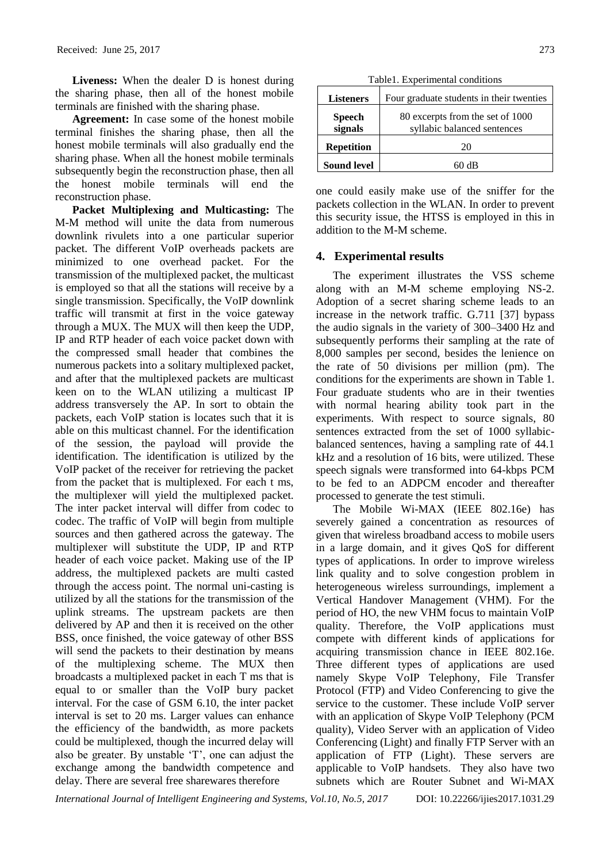**Liveness:** When the dealer D is honest during the sharing phase, then all of the honest mobile terminals are finished with the sharing phase.

**Agreement:** In case some of the honest mobile terminal finishes the sharing phase, then all the honest mobile terminals will also gradually end the sharing phase. When all the honest mobile terminals subsequently begin the reconstruction phase, then all the honest mobile terminals will end the reconstruction phase.

**Packet Multiplexing and Multicasting:** The M-M method will unite the data from numerous downlink rivulets into a one particular superior packet. The different VoIP overheads packets are minimized to one overhead packet. For the transmission of the multiplexed packet, the multicast is employed so that all the stations will receive by a single transmission. Specifically, the VoIP downlink traffic will transmit at first in the voice gateway through a MUX. The MUX will then keep the UDP, IP and RTP header of each voice packet down with the compressed small header that combines the numerous packets into a solitary multiplexed packet, and after that the multiplexed packets are multicast keen on to the WLAN utilizing a multicast IP address transversely the AP. In sort to obtain the packets, each VoIP station is locates such that it is able on this multicast channel. For the identification of the session, the payload will provide the identification. The identification is utilized by the VoIP packet of the receiver for retrieving the packet from the packet that is multiplexed. For each t ms, the multiplexer will yield the multiplexed packet. The inter packet interval will differ from codec to codec. The traffic of VoIP will begin from multiple sources and then gathered across the gateway. The multiplexer will substitute the UDP, IP and RTP header of each voice packet. Making use of the IP address, the multiplexed packets are multi casted through the access point. The normal uni-casting is utilized by all the stations for the transmission of the uplink streams. The upstream packets are then delivered by AP and then it is received on the other BSS, once finished, the voice gateway of other BSS will send the packets to their destination by means of the multiplexing scheme. The MUX then broadcasts a multiplexed packet in each T ms that is equal to or smaller than the VoIP bury packet interval. For the case of GSM 6.10, the inter packet interval is set to 20 ms. Larger values can enhance the efficiency of the bandwidth, as more packets could be multiplexed, though the incurred delay will also be greater. By unstable 'T', one can adjust the exchange among the bandwidth competence and delay. There are several free sharewares therefore

Table1. Experimental conditions

| <b>Listeners</b>         | Four graduate students in their twenties                        |
|--------------------------|-----------------------------------------------------------------|
| <b>Speech</b><br>signals | 80 excerpts from the set of 1000<br>syllabic balanced sentences |
| <b>Repetition</b>        | 20                                                              |
| <b>Sound level</b>       | 60 dB                                                           |

one could easily make use of the sniffer for the packets collection in the WLAN. In order to prevent this security issue, the HTSS is employed in this in addition to the M-M scheme.

## **4. Experimental results**

The experiment illustrates the VSS scheme along with an M-M scheme employing NS-2. Adoption of a secret sharing scheme leads to an increase in the network traffic. G.711 [37] bypass the audio signals in the variety of 300–3400 Hz and subsequently performs their sampling at the rate of 8,000 samples per second, besides the lenience on the rate of 50 divisions per million (pm). The conditions for the experiments are shown in Table 1. Four graduate students who are in their twenties with normal hearing ability took part in the experiments. With respect to source signals, 80 sentences extracted from the set of 1000 syllabicbalanced sentences, having a sampling rate of 44.1 kHz and a resolution of 16 bits, were utilized. These speech signals were transformed into 64-kbps PCM to be fed to an ADPCM encoder and thereafter processed to generate the test stimuli.

The Mobile Wi-MAX (IEEE 802.16e) has severely gained a concentration as resources of given that wireless broadband access to mobile users in a large domain, and it gives QoS for different types of applications. In order to improve wireless link quality and to solve congestion problem in heterogeneous wireless surroundings, implement a Vertical Handover Management (VHM). For the period of HO, the new VHM focus to maintain VoIP quality. Therefore, the VoIP applications must compete with different kinds of applications for acquiring transmission chance in IEEE 802.16e. Three different types of applications are used namely Skype VoIP Telephony, File Transfer Protocol (FTP) and Video Conferencing to give the service to the customer. These include VoIP server with an application of Skype VoIP Telephony (PCM quality), Video Server with an application of Video Conferencing (Light) and finally FTP Server with an application of FTP (Light). These servers are applicable to VoIP handsets. They also have two subnets which are Router Subnet and Wi-MAX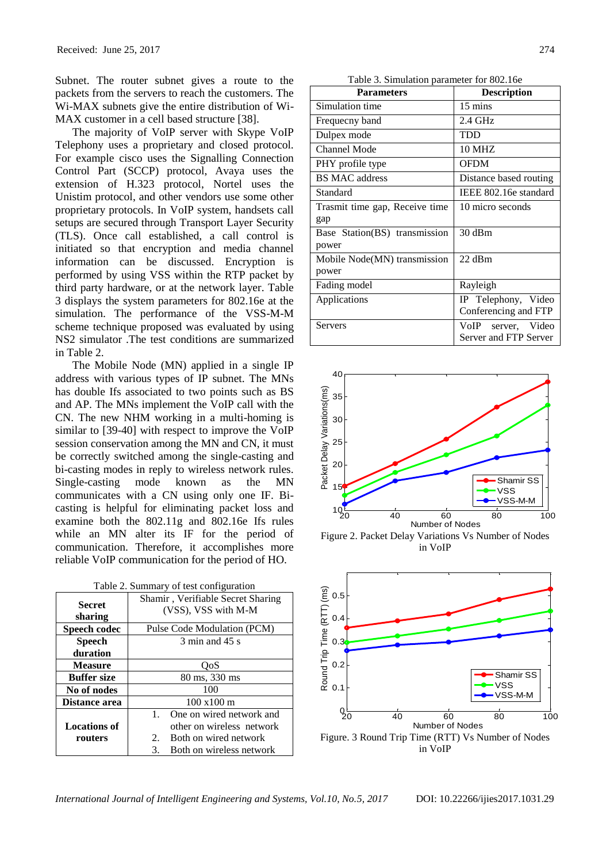Subnet. The router subnet gives a route to the packets from the servers to reach the customers. The Wi-MAX subnets give the entire distribution of Wi-MAX customer in a cell based structure [38].

The majority of VoIP server with Skype VoIP Telephony uses a proprietary and closed protocol. For example cisco uses the Signalling Connection Control Part (SCCP) protocol, Avaya uses the extension of H.323 protocol, Nortel uses the Unistim protocol, and other vendors use some other proprietary protocols. In VoIP system, handsets call setups are secured through Transport Layer Security (TLS). Once call established, a call control is initiated so that encryption and media channel information can be discussed. Encryption is performed by using VSS within the RTP packet by third party hardware, or at the network layer. Table 3 displays the system parameters for 802.16e at the simulation. The performance of the VSS-M-M scheme technique proposed was evaluated by using NS2 simulator .The test conditions are summarized in Table 2.

The Mobile Node (MN) applied in a single IP address with various types of IP subnet. The MNs has double Ifs associated to two points such as BS and AP. The MNs implement the VoIP call with the CN. The new NHM working in a multi-homing is similar to [39-40] with respect to improve the VoIP session conservation among the MN and CN, it must be correctly switched among the single-casting and bi-casting modes in reply to wireless network rules. Single-casting mode known as the MN communicates with a CN using only one IF. Bicasting is helpful for eliminating packet loss and examine both the 802.11g and 802.16e Ifs rules while an MN alter its IF for the period of communication. Therefore, it accomplishes more reliable VoIP communication for the period of HO.

| I able 2. Building y of test configuration |                                                          |  |  |
|--------------------------------------------|----------------------------------------------------------|--|--|
| <b>Secret</b><br>sharing                   | Shamir, Verifiable Secret Sharing<br>(VSS), VSS with M-M |  |  |
| Speech codec                               | Pulse Code Modulation (PCM)                              |  |  |
|                                            |                                                          |  |  |
| <b>Speech</b>                              | $3 \text{ min}$ and $45 \text{ s}$                       |  |  |
| duration                                   |                                                          |  |  |
| <b>Measure</b>                             | OoS                                                      |  |  |
| <b>Buffer size</b>                         | 80 ms, 330 ms                                            |  |  |
| No of nodes                                | 100                                                      |  |  |
| Distance area                              | $100 \times 100 \text{ m}$                               |  |  |
|                                            | One on wired network and<br>$\mathbf{1}$ .               |  |  |
| <b>Locations of</b>                        | other on wireless network                                |  |  |
| routers                                    | Both on wired network<br>$2_{1}$                         |  |  |
|                                            | Both on wireless network<br>3.                           |  |  |

Table 2. Summary of test configuration

Table 3. Simulation parameter for 802.16e

| <b>Parameters</b>              | <b>Description</b>     |
|--------------------------------|------------------------|
| Simulation time                | 15 mins                |
| Frequecny band                 | 2.4 GHz                |
| Dulpex mode                    | <b>TDD</b>             |
| <b>Channel Mode</b>            | <b>10 MHZ</b>          |
| PHY profile type               | <b>OFDM</b>            |
| <b>BS MAC</b> address          | Distance based routing |
| Standard                       | IEEE 802.16e standard  |
| Trasmit time gap, Receive time | 10 micro seconds       |
| gap                            |                        |
| Base Station(BS) transmission  | 30 dBm                 |
| power                          |                        |
| Mobile Node(MN) transmission   | $22$ dBm               |
| power                          |                        |
| Fading model                   | Rayleigh               |
| Applications                   | IP Telephony, Video    |
|                                | Conferencing and FTP   |
| Servers                        | VoIP<br>server, Video  |
|                                | Server and FTP Server  |



Figure 2. Packet Delay Variations Vs Number of Nodes in VoIP



in VoIP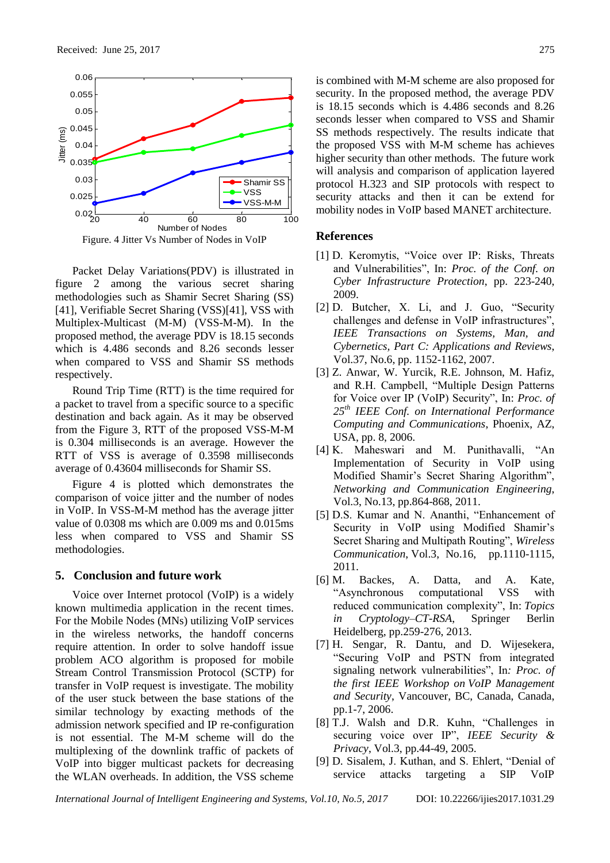

Packet Delay Variations(PDV) is illustrated in figure 2 among the various secret sharing methodologies such as Shamir Secret Sharing (SS) [41], Verifiable Secret Sharing (VSS)[41], VSS with Multiplex-Multicast (M-M) (VSS-M-M). In the proposed method, the average PDV is 18.15 seconds which is 4.486 seconds and 8.26 seconds lesser when compared to VSS and Shamir SS methods respectively.

Round Trip Time (RTT) is the time required for a packet to travel from a specific source to a specific destination and back again. As it may be observed from the Figure 3, RTT of the proposed VSS-M-M is 0.304 milliseconds is an average. However the RTT of VSS is average of 0.3598 milliseconds average of 0.43604 milliseconds for Shamir SS.

Figure 4 is plotted which demonstrates the comparison of voice jitter and the number of nodes in VoIP. In VSS-M-M method has the average jitter value of 0.0308 ms which are 0.009 ms and 0.015ms less when compared to VSS and Shamir SS methodologies.

### **5. Conclusion and future work**

Voice over Internet protocol (VoIP) is a widely known multimedia application in the recent times. For the Mobile Nodes (MNs) utilizing VoIP services in the wireless networks, the handoff concerns require attention. In order to solve handoff issue problem ACO algorithm is proposed for mobile Stream Control Transmission Protocol (SCTP) for transfer in VoIP request is investigate. The mobility of the user stuck between the base stations of the similar technology by exacting methods of the admission network specified and IP re-configuration is not essential. The M-M scheme will do the multiplexing of the downlink traffic of packets of VoIP into bigger multicast packets for decreasing the WLAN overheads. In addition, the VSS scheme

is combined with M-M scheme are also proposed for security. In the proposed method, the average PDV is 18.15 seconds which is 4.486 seconds and 8.26 seconds lesser when compared to VSS and Shamir SS methods respectively. The results indicate that the proposed VSS with M-M scheme has achieves higher security than other methods. The future work will analysis and comparison of application layered protocol H.323 and SIP protocols with respect to security attacks and then it can be extend for mobility nodes in VoIP based MANET architecture.

#### **References**

- [1] D. Keromytis, "Voice over IP: Risks, Threats and Vulnerabilities", In: *Proc. of the Conf. on Cyber Infrastructure Protection*, pp. 223-240, 2009.
- [2] D. Butcher, X. Li, and J. Guo, "Security challenges and defense in VoIP infrastructures", *IEEE Transactions on Systems, Man, and Cybernetics, Part C: Applications and Reviews*, Vol.37, No.6, pp. 1152-1162, 2007.
- [3] Z. Anwar, W. Yurcik, R.E. Johnson, M. Hafiz, and R.H. Campbell, "Multiple Design Patterns for Voice over IP (VoIP) Security", In: *Proc. of 25th IEEE Conf. on International Performance Computing and Communications*, Phoenix, AZ, USA, pp. 8, 2006.
- [4] K. Maheswari and M. Punithavalli, "An Implementation of Security in VoIP using Modified Shamir's Secret Sharing Algorithm", *Networking and Communication Engineering*, Vol.3, No.13, pp.864-868, 2011.
- [5] D.S. Kumar and N. Ananthi, "Enhancement of Security in VoIP using Modified Shamir's Secret Sharing and Multipath Routing", *Wireless Communication*, Vol.3, No.16, pp.1110-1115, 2011.
- [6] M. Backes, A. Datta, and A. Kate, "Asynchronous computational VSS with reduced communication complexity", In: *Topics in Cryptology–CT-RSA*, Springer Berlin Heidelberg, pp.259-276, 2013.
- [7] H. Sengar, R. Dantu, and D. Wijesekera, "Securing VoIP and PSTN from integrated signaling network vulnerabilities", In*: Proc. of the first IEEE Workshop on VoIP Management and Security*, Vancouver, BC, Canada, Canada, pp.1-7, 2006.
- [8] T.J. Walsh and D.R. Kuhn, "Challenges in securing voice over IP", *IEEE Security & Privacy*, Vol.3, pp.44-49, 2005.
- [9] D. Sisalem, J. Kuthan, and S. Ehlert, "Denial of service attacks targeting a SIP VoIP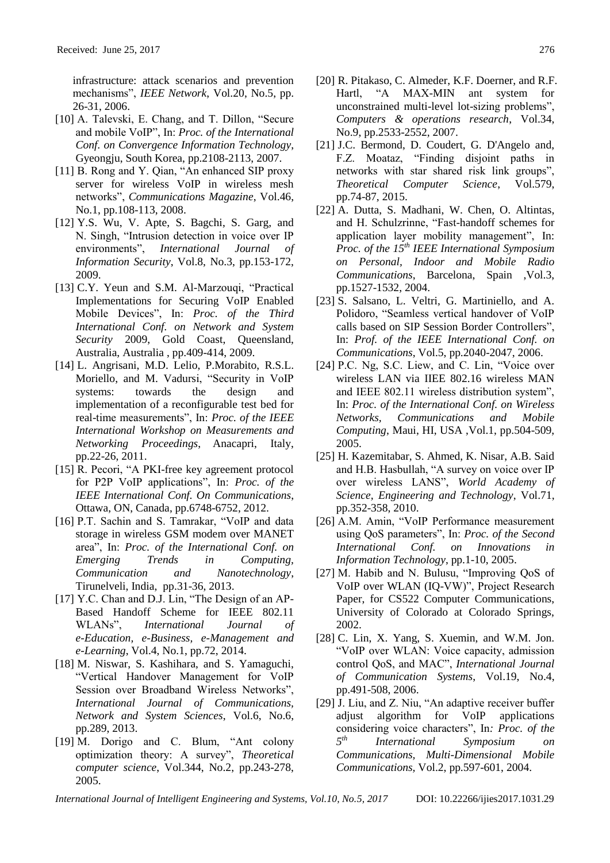infrastructure: attack scenarios and prevention mechanisms", *IEEE Network*, Vol.20, No.5, pp. 26-31, 2006.

- [10] A. Talevski, E. Chang, and T. Dillon, "Secure and mobile VoIP", In: *Proc. of the International Conf. on Convergence Information Technology*, Gyeongju, South Korea, pp.2108-2113, 2007.
- [11] B. Rong and Y. Qian, "An enhanced SIP proxy server for wireless VoIP in wireless mesh networks", *Communications Magazine*, Vol.46, No.1, pp.108-113, 2008.
- [12] Y.S. Wu, V. Apte, S. Bagchi, S. Garg, and N. Singh, "Intrusion detection in voice over IP environments", *International Journal of Information Security*, Vol.8, No.3, pp.153-172, 2009.
- [13] C.Y. Yeun and S.M. Al-Marzouqi, "Practical Implementations for Securing VoIP Enabled Mobile Devices", In: *Proc. of the Third International Conf. on Network and System Security* 2009, Gold Coast, Queensland, Australia, Australia , pp.409-414, 2009.
- [14] L. Angrisani, M.D. Lelio, P.Morabito, R.S.L. Moriello, and M. Vadursi, "Security in VoIP systems: towards the design and implementation of a reconfigurable test bed for real-time measurements", In: *Proc. of the IEEE International Workshop on Measurements and Networking Proceedings*, Anacapri, Italy, pp.22-26, 2011.
- [15] R. Pecori, "A PKI-free key agreement protocol for P2P VoIP applications", In: *Proc. of the IEEE International Conf. On Communications*, Ottawa, ON, Canada, pp.6748-6752, 2012.
- [16] P.T. Sachin and S. Tamrakar, "VoIP and data storage in wireless GSM modem over MANET area", In: *Proc. of the International Conf. on Emerging Trends in Computing, Communication and Nanotechnology*, Tirunelveli, India, pp.31-36, 2013.
- [17] Y.C. Chan and D.J. Lin, "The Design of an AP-Based Handoff Scheme for IEEE 802.11 WLANs", *International Journal of e-Education, e-Business, e-Management and e-Learning*, Vol.4, No.1, pp.72, 2014.
- [18] M. Niswar, S. Kashihara, and S. Yamaguchi, "Vertical Handover Management for VoIP Session over Broadband Wireless Networks", *International Journal of Communications, Network and System Sciences*, Vol.6, No.6, pp.289, 2013.
- [19] M. Dorigo and C. Blum, "Ant colony optimization theory: A survey", *Theoretical computer science*, Vol.344, No.2, pp.243-278, 2005.
- [20] R. Pitakaso, C. Almeder, K.F. Doerner, and R.F. Hartl, "A MAX-MIN ant system for unconstrained multi-level lot-sizing problems", *Computers & operations research*, Vol.34, No.9, pp.2533-2552, 2007.
- [21] J.C. Bermond, D. Coudert, G. D'Angelo and, F.Z. Moataz, "Finding disjoint paths in networks with star shared risk link groups", *Theoretical Computer Science*, Vol.579, pp.74-87, 2015.
- [22] A. Dutta, S. Madhani, W. Chen, O. Altintas, and H. Schulzrinne, "Fast-handoff schemes for application layer mobility management", In: *Proc. of the 15th IEEE International Symposium on Personal, Indoor and Mobile Radio Communications*, Barcelona, Spain ,Vol.3, pp.1527-1532, 2004.
- [23] S. Salsano, L. Veltri, G. Martiniello, and A. Polidoro, "Seamless vertical handover of VoIP calls based on SIP Session Border Controllers", In: *Prof. of the IEEE International Conf. on Communications*, Vol.5, pp.2040-2047, 2006.
- [24] P.C. Ng, S.C. Liew, and C. Lin, "Voice over wireless LAN via IIEE 802.16 wireless MAN and IEEE 802.11 wireless distribution system", In: *Proc. of the International Conf. on Wireless Networks, Communications and Mobile Computing*, Maui, HI, USA ,Vol.1, pp.504-509, 2005.
- [25] H. Kazemitabar, S. Ahmed, K. Nisar, A.B. Said and H.B. Hasbullah, "A survey on voice over IP over wireless LANS", *World Academy of Science, Engineering and Technology*, Vol.71, pp.352-358, 2010.
- [26] A.M. Amin, "VoIP Performance measurement using QoS parameters", In: *Proc. of the Second International Conf. on Innovations in Information Technology*, pp.1-10, 2005.
- [27] M. Habib and N. Bulusu, "Improving QoS of VoIP over WLAN (IQ-VW)", Project Research Paper, for CS522 Computer Communications, University of Colorado at Colorado Springs, 2002.
- [28] C. Lin, X. Yang, S. Xuemin, and W.M. Jon. "VoIP over WLAN: Voice capacity, admission control QoS, and MAC", *International Journal of Communication Systems*, Vol.19, No.4, pp.491-508, 2006.
- [29] J. Liu, and Z. Niu, "An adaptive receiver buffer adjust algorithm for VoIP applications considering voice characters", In*: Proc. of the 5 th International Symposium on Communications, Multi-Dimensional Mobile Communications,* Vol.2, pp.597-601, 2004.